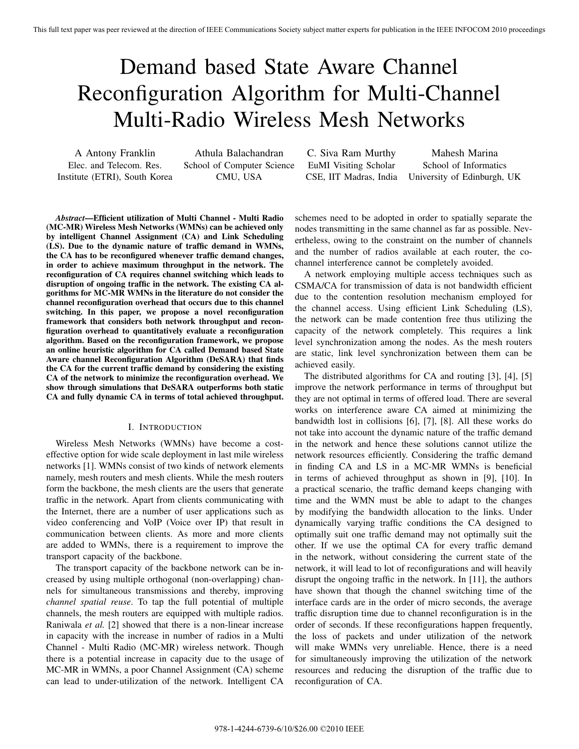# Demand based State Aware Channel Reconfiguration Algorithm for Multi-Channel Multi-Radio Wireless Mesh Networks

A Antony Franklin Elec. and Telecom. Res. Institute (ETRI), South Korea

Athula Balachandran School of Computer Science CMU, USA

C. Siva Ram Murthy EuMI Visiting Scholar CSE, IIT Madras, India

Mahesh Marina School of Informatics University of Edinburgh, UK

*Abstract***—Efficient utilization of Multi Channel - Multi Radio (MC-MR) Wireless Mesh Networks (WMNs) can be achieved only by intelligent Channel Assignment (CA) and Link Scheduling (LS). Due to the dynamic nature of traffic demand in WMNs, the CA has to be reconfigured whenever traffic demand changes, in order to achieve maximum throughput in the network. The reconfiguration of CA requires channel switching which leads to disruption of ongoing traffic in the network. The existing CA algorithms for MC-MR WMNs in the literature do not consider the channel reconfiguration overhead that occurs due to this channel switching. In this paper, we propose a novel reconfiguration framework that considers both network throughput and reconfiguration overhead to quantitatively evaluate a reconfiguration algorithm. Based on the reconfiguration framework, we propose an online heuristic algorithm for CA called Demand based State Aware channel Reconfiguration Algorithm (DeSARA) that finds the CA for the current traffic demand by considering the existing CA of the network to minimize the reconfiguration overhead. We show through simulations that DeSARA outperforms both static CA and fully dynamic CA in terms of total achieved throughput.**

# I. INTRODUCTION

Wireless Mesh Networks (WMNs) have become a costeffective option for wide scale deployment in last mile wireless networks [1]. WMNs consist of two kinds of network elements namely, mesh routers and mesh clients. While the mesh routers form the backbone, the mesh clients are the users that generate traffic in the network. Apart from clients communicating with the Internet, there are a number of user applications such as video conferencing and VoIP (Voice over IP) that result in communication between clients. As more and more clients are added to WMNs, there is a requirement to improve the transport capacity of the backbone.

The transport capacity of the backbone network can be increased by using multiple orthogonal (non-overlapping) channels for simultaneous transmissions and thereby, improving *channel spatial reuse*. To tap the full potential of multiple channels, the mesh routers are equipped with multiple radios. Raniwala *et al.* [2] showed that there is a non-linear increase in capacity with the increase in number of radios in a Multi Channel - Multi Radio (MC-MR) wireless network. Though there is a potential increase in capacity due to the usage of MC-MR in WMNs, a poor Channel Assignment (CA) scheme can lead to under-utilization of the network. Intelligent CA

schemes need to be adopted in order to spatially separate the nodes transmitting in the same channel as far as possible. Nevertheless, owing to the constraint on the number of channels and the number of radios available at each router, the cochannel interference cannot be completely avoided.

A network employing multiple access techniques such as CSMA/CA for transmission of data is not bandwidth efficient due to the contention resolution mechanism employed for the channel access. Using efficient Link Scheduling (LS), the network can be made contention free thus utilizing the capacity of the network completely. This requires a link level synchronization among the nodes. As the mesh routers are static, link level synchronization between them can be achieved easily.

The distributed algorithms for CA and routing [3], [4], [5] improve the network performance in terms of throughput but they are not optimal in terms of offered load. There are several works on interference aware CA aimed at minimizing the bandwidth lost in collisions [6], [7], [8]. All these works do not take into account the dynamic nature of the traffic demand in the network and hence these solutions cannot utilize the network resources efficiently. Considering the traffic demand in finding CA and LS in a MC-MR WMNs is beneficial in terms of achieved throughput as shown in [9], [10]. In a practical scenario, the traffic demand keeps changing with time and the WMN must be able to adapt to the changes by modifying the bandwidth allocation to the links. Under dynamically varying traffic conditions the CA designed to optimally suit one traffic demand may not optimally suit the other. If we use the optimal CA for every traffic demand in the network, without considering the current state of the network, it will lead to lot of reconfigurations and will heavily disrupt the ongoing traffic in the network. In [11], the authors have shown that though the channel switching time of the interface cards are in the order of micro seconds, the average traffic disruption time due to channel reconfiguration is in the order of seconds. If these reconfigurations happen frequently, the loss of packets and under utilization of the network will make WMNs very unreliable. Hence, there is a need for simultaneously improving the utilization of the network resources and reducing the disruption of the traffic due to reconfiguration of CA.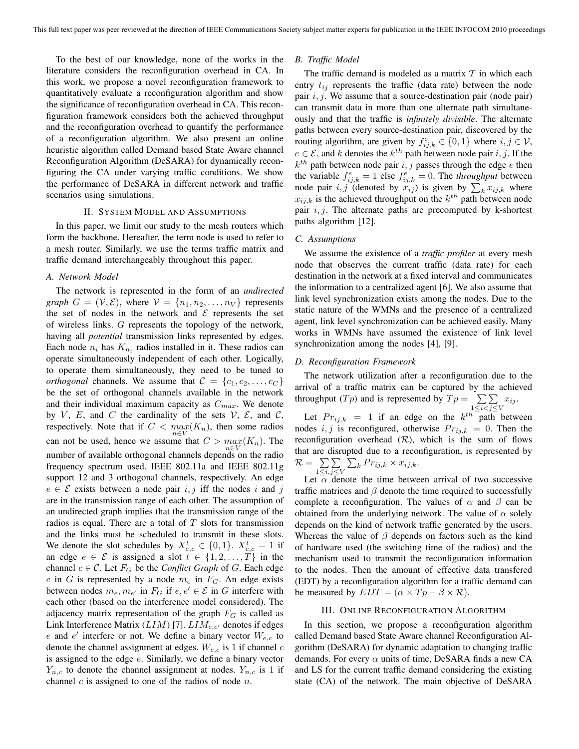To the best of our knowledge, none of the works in the literature considers the reconfiguration overhead in CA. In this work, we propose a novel reconfiguration framework to quantitatively evaluate a reconfiguration algorithm and show the significance of reconfiguration overhead in CA. This reconfiguration framework considers both the achieved throughput and the reconfiguration overhead to quantify the performance of a reconfiguration algorithm. We also present an online heuristic algorithm called Demand based State Aware channel Reconfiguration Algorithm (DeSARA) for dynamically reconfiguring the CA under varying traffic conditions. We show the performance of DeSARA in different network and traffic scenarios using simulations.

# II. SYSTEM MODEL AND ASSUMPTIONS

In this paper, we limit our study to the mesh routers which form the backbone. Hereafter, the term node is used to refer to a mesh router. Similarly, we use the terms traffic matrix and traffic demand interchangeably throughout this paper.

## *A. Network Model*

The network is represented in the form of an *undirected graph*  $G = (\mathcal{V}, \mathcal{E})$ , where  $\mathcal{V} = \{n_1, n_2, \dots, n_V\}$  represents the set of nodes in the network and  $\mathcal E$  represents the set of wireless links. G represents the topology of the network, having all *potential* transmission links represented by edges. Each node  $n_i$  has  $K_{n_i}$  radios installed in it. These radios can operate simultaneously independent of each other. Logically, to operate them simultaneously, they need to be tuned to *orthogonal* channels. We assume that  $C = \{c_1, c_2, \ldots, c_C\}$ be the set of orthogonal channels available in the network and their individual maximum capacity as C*max*. We denote by V, E, and C the cardinality of the sets  $V$ ,  $E$ , and  $C$ , respectively. Note that if  $C < max(K_n)$ , then some radios can not be used, hence we assume that  $C > max(K_n)$ . The number of available orthogonal channels depends on the radio frequency spectrum used. IEEE 802.11a and IEEE 802.11g support 12 and 3 orthogonal channels, respectively. An edge  $e \in \mathcal{E}$  exists between a node pair i, j iff the nodes i and j are in the transmission range of each other. The assumption of an undirected graph implies that the transmission range of the radios is equal. There are a total of  $T$  slots for transmission and the links must be scheduled to transmit in these slots. We denote the slot schedules by  $X_{e,c}^t \in \{0,1\}$ .  $X_{e,c}^t = 1$  if an edge  $e \in \mathcal{E}$  is assigned a slot  $t \in \{1, 2, ..., T\}$  in the channel  $c \in \mathcal{C}$ . Let  $F_G$  be the *Conflict Graph* of G. Each edge  $e$  in  $G$  is represented by a node  $m_e$  in  $F_G$ . An edge exists between nodes  $m_e, m_{e'}$  in  $F_G$  if  $e, e' \in \mathcal{E}$  in G interfere with each other (based on the interference model considered). The adjacency matrix representation of the graph  $F_G$  is called as Link Interference Matrix (*LIM*) [7]. *LIM<sub>e,e'</sub>* denotes if edges e and  $e'$  interfere or not. We define a binary vector  $W_{e,c}$  to denote the channel assignment at edges. W*e,c* is 1 if channel c is assigned to the edge e. Similarly, we define a binary vector  $Y_{n,c}$  to denote the channel assignment at nodes.  $Y_{n,c}$  is 1 if channel  $c$  is assigned to one of the radios of node  $n$ .

# *B. Traffic Model*

The traffic demand is modeled as a matrix  $T$  in which each entry  $t_{ij}$  represents the traffic (data rate) between the node pair  $i, j$ . We assume that a source-destination pair (node pair) can transmit data in more than one alternate path simultaneously and that the traffic is *infinitely divisible*. The alternate paths between every source-destination pair, discovered by the routing algorithm, are given by  $f_{ij,k}^e \in \{0,1\}$  where  $i, j \in \mathcal{V}$ ,  $e \in \mathcal{E}$ , and k denotes the  $k^{th}$  path between node pair i, j. If the  $k<sup>th</sup>$  path between node pair  $i, j$  passes through the edge  $e$  then the variable  $f_{ij,k}^e = 1$  else  $f_{ij,k}^e = 0$ . The *throughput* between node pair *i*, *j* (denoted by  $x_{ij}$ ) is given by  $\sum_{k} x_{ij,k}$  where  $x_{ij,k}$  is the achieved throughput on the  $k^{th}$  path between node pair  $i, j$ . The alternate paths are precomputed by k-shortest paths algorithm [12].

## *C. Assumptions*

We assume the existence of a *traffic profiler* at every mesh node that observes the current traffic (data rate) for each destination in the network at a fixed interval and communicates the information to a centralized agent [6]. We also assume that link level synchronization exists among the nodes. Due to the static nature of the WMNs and the presence of a centralized agent, link level synchronization can be achieved easily. Many works in WMNs have assumed the existence of link level synchronization among the nodes [4], [9].

## *D. Reconfiguration Framework*

The network utilization after a reconfiguration due to the arrival of a traffic matrix can be captured by the achieved throughput  $(Tp)$  and is represented by  $Tp = \sum \sum$  $\sum_{1\leq i < j \leq V} x_{ij}$ .

Let  $Pr_{ij,k}$  = 1 if an edge on the  $k^{th}$  path between nodes  $i, j$  is reconfigured, otherwise  $Pr_{ij,k} = 0$ . Then the reconfiguration overhead  $(R)$ , which is the sum of flows that are disrupted due to a reconfiguration, is represented by  $\mathcal{R} = \sum \sum$ 1≤*i,j*≤*V*  $\sum_{k} Pr_{ij,k} \times x_{ij,k}.$ 

Let  $\alpha$  denote the time between arrival of two successive traffic matrices and  $\beta$  denote the time required to successfully complete a reconfiguration. The values of  $\alpha$  and  $\beta$  can be obtained from the underlying network. The value of  $\alpha$  solely depends on the kind of network traffic generated by the users. Whereas the value of  $\beta$  depends on factors such as the kind of hardware used (the switching time of the radios) and the mechanism used to transmit the reconfiguration information to the nodes. Then the amount of effective data transfered (EDT) by a reconfiguration algorithm for a traffic demand can be measured by  $EDT = (\alpha \times Tp - \beta \times R)$ .

# III. ONLINE RECONFIGURATION ALGORITHM

In this section, we propose a reconfiguration algorithm called Demand based State Aware channel Reconfiguration Algorithm (DeSARA) for dynamic adaptation to changing traffic demands. For every  $\alpha$  units of time, DeSARA finds a new CA and LS for the current traffic demand considering the existing state (CA) of the network. The main objective of DeSARA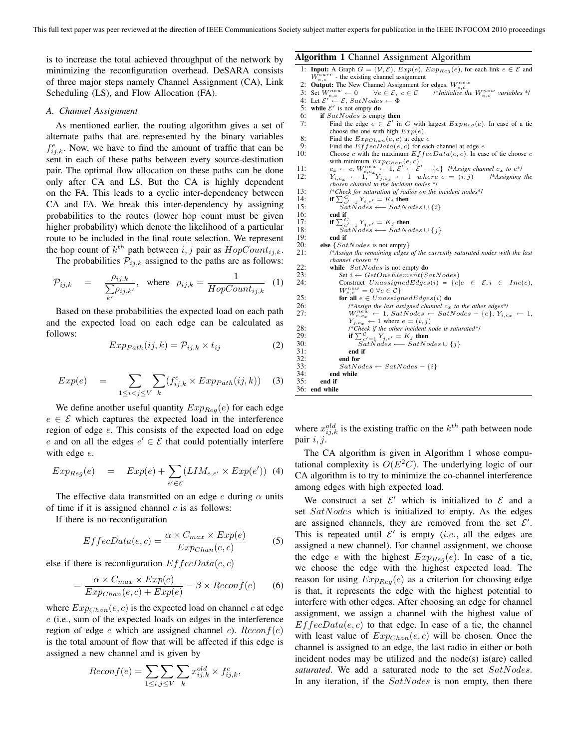14:<br>15:

16: 17: **if** -

is to increase the total achieved throughput of the network by minimizing the reconfiguration overhead. DeSARA consists of three major steps namely Channel Assignment (CA), Link Scheduling (LS), and Flow Allocation (FA).

# *A. Channel Assignment*

As mentioned earlier, the routing algorithm gives a set of alternate paths that are represented by the binary variables  $f_{ij,k}^e$ . Now, we have to find the amount of traffic that can be sent in each of these paths between every source-destination pair. The optimal flow allocation on these paths can be done only after CA and LS. But the CA is highly dependent on the FA. This leads to a cyclic inter-dependency between CA and FA. We break this inter-dependency by assigning probabilities to the routes (lower hop count must be given higher probability) which denote the likelihood of a particular route to be included in the final route selection. We represent the hop count of  $k^{th}$  path between i, j pair as  $HopCount_{ij,k}$ .

The probabilities  $P_{ijk}$  assigned to the paths are as follows:

$$
\mathcal{P}_{ij,k} = \frac{\rho_{ij,k}}{\sum_{k'} \rho_{ij,k'}}, \text{ where } \rho_{ij,k} = \frac{1}{HopCount_{ij,k}} \quad (1)
$$

Based on these probabilities the expected load on each path and the expected load on each edge can be calculated as follows:

$$
Exp_{Path}(ij,k) = \mathcal{P}_{ij,k} \times t_{ij}
$$
 (2)

$$
Exp(e) = \sum_{1 \le i < j \le V} \sum_{k} (f_{ij,k}^e \times Exp_{Path}(ij,k)) \quad (3)
$$

We define another useful quantity  $Exp_{Reg}(e)$  for each edge  $e \in \mathcal{E}$  which captures the expected load in the interference region of edge e. This consists of the expected load on edge e and on all the edges  $e' \in \mathcal{E}$  that could potentially interfere with edge  $e$ .

$$
Exp_{Reg}(e) = Exp(e) + \sum_{e' \in \mathcal{E}} (LIM_{e,e'} \times Exp(e')) \quad (4)
$$

The effective data transmitted on an edge e during  $\alpha$  units of time if it is assigned channel  $c$  is as follows:

If there is no reconfiguration

$$
EffectData(e, c) = \frac{\alpha \times C_{max} \times Exp(e)}{Exp_{Chan}(e, c)}
$$
(5)

else if there is reconfiguration  $EffectDate, c)$ 

$$
= \frac{\alpha \times C_{max} \times Exp(e)}{Exp_{Chan}(e, c) + Exp(e)} - \beta \times Reconf(e) \tag{6}
$$

where  $Exp_{Chan}(e, c)$  is the expected load on channel c at edge e (i.e., sum of the expected loads on edges in the interference region of edge e which are assigned channel c).  $Reconf(e)$ is the total amount of flow that will be affected if this edge is assigned a new channel and is given by

$$
Reconf(e) = \sum_{1 \le i,j \le V} \sum_{k} x_{ij,k}^{old} \times f_{ij,k}^{e},
$$

# **Algorithm 1** Channel Assignment Algorithm

- 1: **Input:** A Graph  $G = (\mathcal{V}, \mathcal{E})$ ,  $Exp(e)$ ,  $Exp_{Reg}(e)$ , for each link  $e \in \mathcal{E}$  and  $W_{e,c}^{curr}$  - the existing channel assignment<br>Output: The New Channel Assignment for
- 2: **Output:** The New Channel Assignment for edges,  $W_{e,c}^{new}$ <br>3: Set  $W_{e,c}^{new}$   $\leftarrow$  0  $\forall e \in \mathcal{E}, c \in \mathcal{C}$  /\*Initialize the
- $\overline{e}$  *ce* the  $W_{e,c}^{new}$  variables \*/ 3: Set  $W_{e,c}^{new} \leftarrow 0 \quad \forall e \in \mathcal{E}, c \in \mathcal{C}$  /\**Initialize the*  $W_{e,c}^{new}$ <br>4: Let  $\mathcal{E}' \leftarrow \mathcal{E}, \text{SatNodes} \leftarrow \Phi$
- 4: Let  $\mathcal{E}'^{\circ}$
- 5: while  $\mathcal{E}'$  is not empty **do**
- 6: **if**  $SatNodes$  is empty **then**<br>
7: Find the edge  $e \in \mathcal{E}'$  in *G* with largest  $Exp_{Reg}(e)$ . In case of a tie choose the one with high *Exp*(*e*).
- 8: Find the  $Exp_{Chan}(e, c)$  at edge *e*<br>9. Find the *EffecData(e, c*) for each
- 9: Find the  $EffectData(e, c)$  for each channel at edge *e* 10: Choose *c* with the maximum  $EffectData(e, c)$ . In cas
	- Choose  $c$  with the maximum  $EffectData(e, c)$ . In case of tie choose  $c$
- with minimum  $Exp_{Chan}(e, c)$ .<br>
11:  $c_x \leftarrow c, W_{e,c_x} \leftarrow 1, \mathcal{E}' \leftarrow \mathcal{E}' \{e\}$  /\*Assign channel  $c_x$  to  $e^{*\prime}$ <br>
12:  $Y_{i,c_x} \leftarrow 1, Y_{j,c_x} \leftarrow 1$  where  $e = (i, j)$  /\*Assigning the<br>
chosen channel to the incident nodes \*/
- 13: /\**Check for saturation of radios on the incident nodes*\*/

14: if 
$$
\sum_{c'=1}^{C} Y_{i,c'} = K_i
$$
 then  
15:  $SatNodes \longleftarrow SatNodes \cup \{i\}$ 

end if 
$$
\sum_{\substack{c'=1 \ SatNodes \ \text{of } S}}^{C} Y_{j,c'} = K_j \text{ then}
$$

18: 
$$
Sat\overrightarrow{N}odes \longleftarrow Sat\overrightarrow{S}at\overrightarrow{N}odes \cup \{j\}
$$

19: **end if**<br>20: **else**  ${Sa}$ 

20: **else** {*SatNodes* is not empty}<br>21: /\**Assign the remaining edges* <sup>2\*</sup> Assign the remaining edges of the currently saturated nodes with the last *channel chosen* \*/

| 22: | while $SatNodes$ is not empty do                                                              |
|-----|-----------------------------------------------------------------------------------------------|
| 23: | Set $i \leftarrow GetOneElement(SatNodes)$                                                    |
| 24: | Construct $UnassignedEdges(i) = \{e e \in \mathcal{E}, i \in Inc(e),\}$                       |
|     | $W^{new}_{e,c} = 0 \; \forall c \in \mathcal{C}$                                              |
| 25: | for all $e \in UnassignedEdges(i)$ do                                                         |
| 26: | $\frac{1}{2}$ Assign the last assigned channel $c_x$ to the other edges*/                     |
| 27: | $W_{e,c_x}^{new} \leftarrow 1, SatNodes \leftarrow SatNodes - \{e\}, Y_{i,c_x} \leftarrow 1,$ |
|     | $Y_{i, c, r} \leftarrow 1$ where $e = (i, j)$                                                 |
| 28: | /*Check if the other incident node is saturated*/                                             |
| 29: | if $\sum_{c'=1}^{C} Y_{i,c'} = K_j$ then                                                      |
| 30: | $SatNodes \longleftarrow SatNodes \cup \{i\}$                                                 |
| 31: | end if                                                                                        |
| 32: | end for                                                                                       |
| 33: | $SatNodes \leftarrow SatNodes - \{i\}$                                                        |
| 34: | end while                                                                                     |
| 35: | end if                                                                                        |
|     | 36: end while                                                                                 |

where  $x_{ij,k}^{old}$  is the existing traffic on the  $k^{th}$  path between node pair  $i, j$ .

The CA algorithm is given in Algorithm 1 whose computational complexity is  $O(E^2C)$ . The underlying logic of our CA algorithm is to try to minimize the co-channel interference among edges with high expected load.

We construct a set  $\mathcal{E}'$  which is initialized to  $\mathcal{E}$  and a set SatNodes which is initialized to empty. As the edges are assigned channels, they are removed from the set  $\mathcal{E}'$ . This is repeated until  $\mathcal{E}'$  is empty (*i.e.*, all the edges are assigned a new channel). For channel assignment, we choose the edge *e* with the highest  $Exp_{Req}(e)$ . In case of a tie, we choose the edge with the highest expected load. The reason for using  $Exp_{Req}(e)$  as a criterion for choosing edge is that, it represents the edge with the highest potential to interfere with other edges. After choosing an edge for channel assignment, we assign a channel with the highest value of  $EffectData(e, c)$  to that edge. In case of a tie, the channel with least value of  $Exp_{Chan}(e, c)$  will be chosen. Once the channel is assigned to an edge, the last radio in either or both incident nodes may be utilized and the node(s) is(are) called saturated. We add a saturated node to the set SatNodes. In any iteration, if the  $SatNodes$  is non empty, then there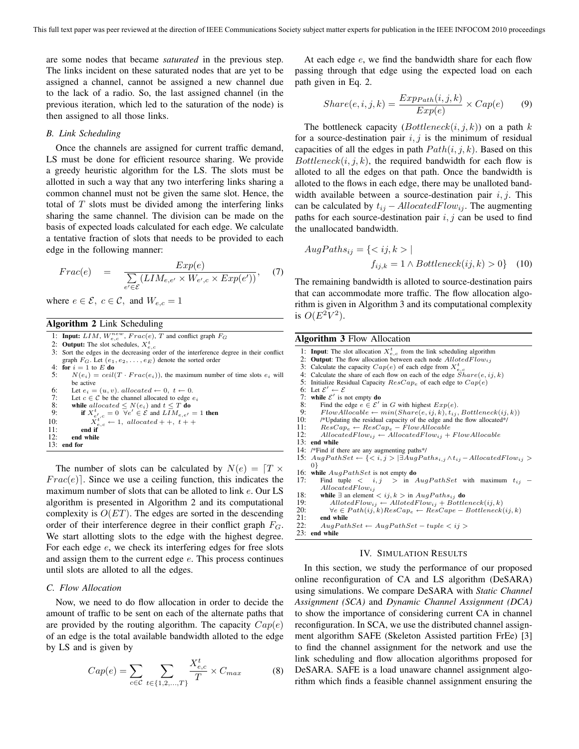are some nodes that became *saturated* in the previous step. The links incident on these saturated nodes that are yet to be assigned a channel, cannot be assigned a new channel due to the lack of a radio. So, the last assigned channel (in the previous iteration, which led to the saturation of the node) is then assigned to all those links.

## *B. Link Scheduling*

Once the channels are assigned for current traffic demand, LS must be done for efficient resource sharing. We provide a greedy heuristic algorithm for the LS. The slots must be allotted in such a way that any two interfering links sharing a common channel must not be given the same slot. Hence, the total of  $T$  slots must be divided among the interfering links sharing the same channel. The division can be made on the basis of expected loads calculated for each edge. We calculate a tentative fraction of slots that needs to be provided to each edge in the following manner:

$$
Frac(e) = \frac{Exp(e)}{\sum_{e' \in \mathcal{E}} (LIM_{e,e'} \times W_{e',c} \times Exp(e'))}, \quad (7)
$$

where  $e \in \mathcal{E}$ ,  $c \in \mathcal{C}$ , and  $W_{e,c} = 1$ 

#### **Algorithm 2** Link Scheduling

- 1: **Input:**  $LIM$ ,  $W_{e,c}^{new}$ ,  $Frac(e)$ ,  $T$  and conflict graph  $F_G$ <br>
2: **Output:** The slot schoolules  $X^t$
- 
- 2: **Output:** The slot schedules,  $X_{e,c}^{t}$ <br>3: Sort the edges in the decreasing order of the interference degree in their conflict graph  $F_G$ . Let  $(e_1, e_2, \ldots, e_E)$  denote the sorted order
- 4: **for**  $i = 1$  to *E* **do**<br>5:  $N(e_i) = ceil$  $N(e_i) = \text{ceil}(T \cdot \text{Frac}(e_i))$ , the maximum number of time slots  $e_i$  will be active

6: Let  $e_i = (u, v)$ . *allocated*  $\leftarrow 0$ ,  $t \leftarrow 0$ .<br>7: Let  $c \in \mathcal{C}$  be the channel allocated to edge  $\epsilon$ 7: Let  $c \in C$  be the channel allocated to edge  $e_i$ <br>8: while allocated  $\leq N(e_i)$  and  $t \leq T$  do 8: **while**  $allocated \leq N(e_i)$  and  $t \leq T$  **do**<br>9: **if**  $X_{e',c}^t = 0$   $\forall e' \in \mathcal{E}$  and  $LIM_{e,e'} = 1$  **then**<br>0: **if**  $X_{e',c}^t = 1$  allocated  $\vdash$   $\vdash$   $\vdash$ 

10:  $X_{e,c}^t \leftarrow 1$ *, allocated* + +*, t* + + + 11

$$
11: \qquad \qquad end if
$$

- 12: **end while**
- 13: **end for**

The number of slots can be calculated by  $N(e) = \lceil T \times$  $Frac(e)$ . Since we use a ceiling function, this indicates the maximum number of slots that can be alloted to link e. Our LS algorithm is presented in Algorithm 2 and its computational complexity is  $O(ET)$ . The edges are sorted in the descending order of their interference degree in their conflict graph F*G*. We start allotting slots to the edge with the highest degree. For each edge  $e$ , we check its interfering edges for free slots and assign them to the current edge  $e$ . This process continues until slots are alloted to all the edges.

# *C. Flow Allocation*

Now, we need to do flow allocation in order to decide the amount of traffic to be sent on each of the alternate paths that are provided by the routing algorithm. The capacity  $Cap(e)$ of an edge is the total available bandwidth alloted to the edge by LS and is given by

$$
Cap(e) = \sum_{c \in \mathcal{C}} \sum_{t \in \{1, 2, \dots, T\}} \frac{X_{e,c}^t}{T} \times C_{max} \tag{8}
$$

At each edge e, we find the bandwidth share for each flow passing through that edge using the expected load on each path given in Eq. 2.

$$
Share(e, i, j, k) = \frac{Exp_{Path}(i, j, k)}{Exp(e)} \times Cap(e) \tag{9}
$$

The bottleneck capacity ( $Bottleneck(i, j, k)$ ) on a path k for a source-destination pair  $i, j$  is the minimum of residual capacities of all the edges in path  $Path(i, j, k)$ . Based on this Bottleneck $(i, j, k)$ , the required bandwidth for each flow is alloted to all the edges on that path. Once the bandwidth is alloted to the flows in each edge, there may be unalloted bandwidth available between a source-destination pair  $i, j$ . This can be calculated by  $t_{ij} - AllocatedFlow_{ij}$ . The augmenting paths for each source-destination pair  $i, j$  can be used to find the unallocated bandwidth.

$$
AugPaths_{ij} = \{ < ij, k > | \\
 & f_{ij,k} = 1 \land Bottleneck(ij,k) > 0\} \tag{10}
$$

The remaining bandwidth is alloted to source-destination pairs that can accommodate more traffic. The flow allocation algorithm is given in Algorithm 3 and its computational complexity is  $O(E^2V^2)$ .

# **Algorithm 3** Flow Allocation

|     | 1: <b>Input:</b> The slot allocation $X_{e,c}^t$ from the link scheduling algorithm<br>2: <b>Output</b> : The flow allocation between each node $\text{AllotedFlow}_{ij}$ |
|-----|---------------------------------------------------------------------------------------------------------------------------------------------------------------------------|
|     | 3: Calculate the capacity $Cap(e)$ of each edge from $X_{e,c}^t$                                                                                                          |
|     | 4: Calculate the share of each flow on each of the edge $Share(e, i, k)$                                                                                                  |
| 5:  | Initialize Residual Capacity $ResCap_e$ of each edge to $Cap(e)$                                                                                                          |
|     | 6: Let $\mathcal{E}' \leftarrow \mathcal{E}$                                                                                                                              |
|     | 7: while $\mathcal{E}'$ is not empty do                                                                                                                                   |
| 8:  | Find the edge $e \in \mathcal{E}'$ in G with highest $Exp(e)$ .                                                                                                           |
| 9:  | $Flow \textit{Allocable} \leftarrow min(\textit{Share}(e, i, k), t_{ij}, \textit{Bottleneck}(i, k))$                                                                      |
|     | 10: /*Updating the residual capacity of the edge and the flow allocated*/                                                                                                 |
| 11: | $ResCap_e \leftarrow ResCap_e - FlowAllocable$                                                                                                                            |
| 12: | $\textit{AllocatedFlow}_{ij} \leftarrow \textit{AllocatedFlow}_{ij} + \textit{FlowAllocable}$                                                                             |
| 13: | end while                                                                                                                                                                 |
| 14: | $/*$ Find if there are any augmenting paths*/                                                                                                                             |
| 15: | $AugPathSet \leftarrow \{ \langle i, j \rangle   \exists AugPaths_{i,j} \wedge t_{ij} - AllocatedFlow_{ij} \rangle$                                                       |
|     | 0}                                                                                                                                                                        |
| 16: | while $AugPathSet$ is not empty do                                                                                                                                        |
| 17: | Find tuple $\langle i, j \rangle$ in $AugPathSet$ with maximum $t_{ij}$                                                                                                   |
|     | $\mathit{AllocatedFlow}_{ii}$                                                                                                                                             |
| 18: | while $\exists$ an element $\langle i j, k \rangle$ in $AugPaths_{ij}$ do                                                                                                 |
| 19: | $\mathit{AllotedFlow}_{ij} \leftarrow \mathit{AllotedFlow}_{ij} + \mathit{Bottleneck}(ij, k)$                                                                             |
| 20: | $\forall e \in Path(ij,k)$ ResCap <sub>e</sub> $\leftarrow$ ResCape – Bottleneck(ij, k)                                                                                   |
| 21: | end while                                                                                                                                                                 |
| 22: | $AugPathSet \leftarrow AugPathSet - tuple < ij>$                                                                                                                          |
| 23: | end while                                                                                                                                                                 |

### IV. SIMULATION RESULTS

In this section, we study the performance of our proposed online reconfiguration of CA and LS algorithm (DeSARA) using simulations. We compare DeSARA with *Static Channel Assignment (SCA)* and *Dynamic Channel Assignment (DCA)* to show the importance of considering current CA in channel reconfiguration. In SCA, we use the distributed channel assignment algorithm SAFE (Skeleton Assisted partition FrEe) [3] to find the channel assignment for the network and use the link scheduling and flow allocation algorithms proposed for DeSARA. SAFE is a load unaware channel assignment algorithm which finds a feasible channel assignment ensuring the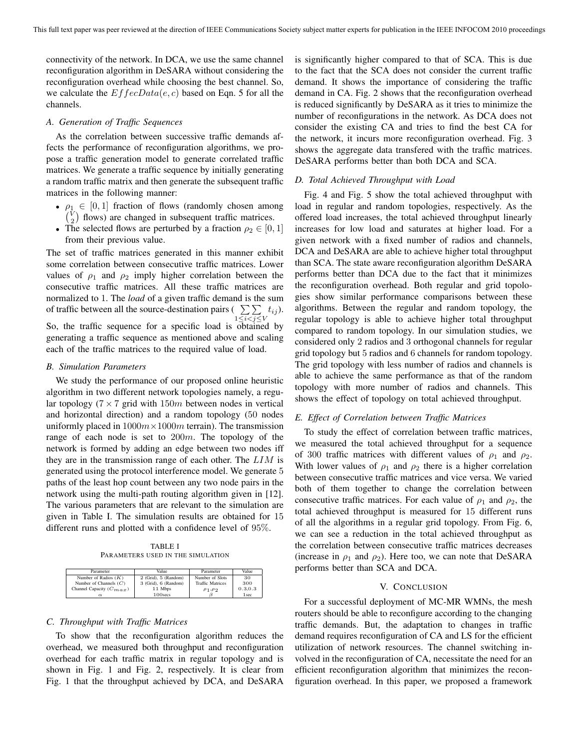connectivity of the network. In DCA, we use the same channel reconfiguration algorithm in DeSARA without considering the reconfiguration overhead while choosing the best channel. So, we calculate the  $EffectData(e, c)$  based on Eqn. 5 for all the channels.

# *A. Generation of Traffic Sequences*

As the correlation between successive traffic demands affects the performance of reconfiguration algorithms, we propose a traffic generation model to generate correlated traffic matrices. We generate a traffic sequence by initially generating a random traffic matrix and then generate the subsequent traffic matrices in the following manner:

- $\rho_1 \in [0,1]$  fraction of flows (randomly chosen among  $V_2$  flows) are changed in subsequent traffic matrices.
- The selected flows are perturbed by a fraction  $\rho_2 \in [0, 1]$ from their previous value.

The set of traffic matrices generated in this manner exhibit some correlation between consecutive traffic matrices. Lower values of  $\rho_1$  and  $\rho_2$  imply higher correlation between the consecutive traffic matrices. All these traffic matrices are normalized to 1. The *load* of a given traffic demand is the sum of traffic between all the source-destination pairs ( $\sum \sum$  $\sum_{1\leq i < j \leq V} L_{ij}$ ). So, the traffic sequence for a specific load is obtained by generating a traffic sequence as mentioned above and scaling

each of the traffic matrices to the required value of load.

#### *B. Simulation Parameters*

We study the performance of our proposed online heuristic algorithm in two different network topologies namely, a regular topology ( $7 \times 7$  grid with 150m between nodes in vertical and horizontal direction) and a random topology (50 nodes uniformly placed in  $1000m \times 1000m$  terrain). The transmission range of each node is set to  $200m$ . The topology of the network is formed by adding an edge between two nodes iff they are in the transmission range of each other. The  $LIM$  is generated using the protocol interference model. We generate 5 paths of the least hop count between any two node pairs in the network using the multi-path routing algorithm given in [12]. The various parameters that are relevant to the simulation are given in Table I. The simulation results are obtained for 15 different runs and plotted with a confidence level of 95%.

TABLE I PARAMETERS USED IN THE SIMULATION

| Parameter                    | Value                | Parameter               | Value   |
|------------------------------|----------------------|-------------------------|---------|
| Number of Radios $(K)$       | 2 (Grid), 5 (Random) | Number of Slots         | 30      |
| Number of Channels $(C)$     | 3 (Grid), 6 (Random) | <b>Traffic Matrices</b> | 300     |
| Channel Capacity $(C_{max})$ | 11 Mbps              | $\rho_1, \rho_2$        | 0.3.0.3 |
| $\alpha$                     | 100secs              |                         | 1 sec   |

### *C. Throughput with Traffic Matrices*

To show that the reconfiguration algorithm reduces the overhead, we measured both throughput and reconfiguration overhead for each traffic matrix in regular topology and is shown in Fig. 1 and Fig. 2, respectively. It is clear from Fig. 1 that the throughput achieved by DCA, and DeSARA is significantly higher compared to that of SCA. This is due to the fact that the SCA does not consider the current traffic demand. It shows the importance of considering the traffic demand in CA. Fig. 2 shows that the reconfiguration overhead is reduced significantly by DeSARA as it tries to minimize the number of reconfigurations in the network. As DCA does not consider the existing CA and tries to find the best CA for the network, it incurs more reconfiguration overhead. Fig. 3 shows the aggregate data transfered with the traffic matrices. DeSARA performs better than both DCA and SCA.

#### *D. Total Achieved Throughput with Load*

Fig. 4 and Fig. 5 show the total achieved throughput with load in regular and random topologies, respectively. As the offered load increases, the total achieved throughput linearly increases for low load and saturates at higher load. For a given network with a fixed number of radios and channels, DCA and DeSARA are able to achieve higher total throughput than SCA. The state aware reconfiguration algorithm DeSARA performs better than DCA due to the fact that it minimizes the reconfiguration overhead. Both regular and grid topologies show similar performance comparisons between these algorithms. Between the regular and random topology, the regular topology is able to achieve higher total throughput compared to random topology. In our simulation studies, we considered only 2 radios and 3 orthogonal channels for regular grid topology but 5 radios and 6 channels for random topology. The grid topology with less number of radios and channels is able to achieve the same performance as that of the random topology with more number of radios and channels. This shows the effect of topology on total achieved throughput.

# *E. Effect of Correlation between Traffic Matrices*

To study the effect of correlation between traffic matrices, we measured the total achieved throughput for a sequence of 300 traffic matrices with different values of  $\rho_1$  and  $\rho_2$ . With lower values of  $\rho_1$  and  $\rho_2$  there is a higher correlation between consecutive traffic matrices and vice versa. We varied both of them together to change the correlation between consecutive traffic matrices. For each value of  $\rho_1$  and  $\rho_2$ , the total achieved throughput is measured for 15 different runs of all the algorithms in a regular grid topology. From Fig. 6, we can see a reduction in the total achieved throughput as the correlation between consecutive traffic matrices decreases (increase in  $\rho_1$  and  $\rho_2$ ). Here too, we can note that DeSARA performs better than SCA and DCA.

# V. CONCLUSION

For a successful deployment of MC-MR WMNs, the mesh routers should be able to reconfigure according to the changing traffic demands. But, the adaptation to changes in traffic demand requires reconfiguration of CA and LS for the efficient utilization of network resources. The channel switching involved in the reconfiguration of CA, necessitate the need for an efficient reconfiguration algorithm that minimizes the reconfiguration overhead. In this paper, we proposed a framework